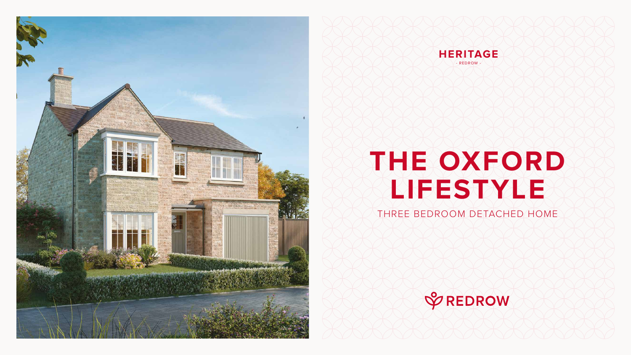# **THE OXFORD LIFESTYLE**

### THREE BEDROOM DETACHED HOME







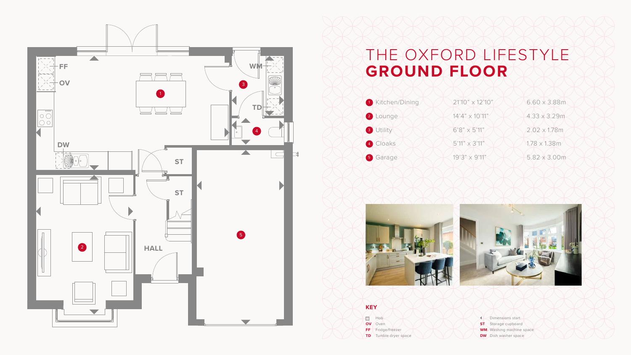## THE OXFORD LIFESTYLE **GROUND FLOOR**







**BOO** Hob **OV** Oven **FF** Fridge/freezer **TD** Tumble dryer space

Dimensions start **ST** Storage cupboard **WM** Washing machine space **DW** Dish washer space

┒⋕



#### **KEY**